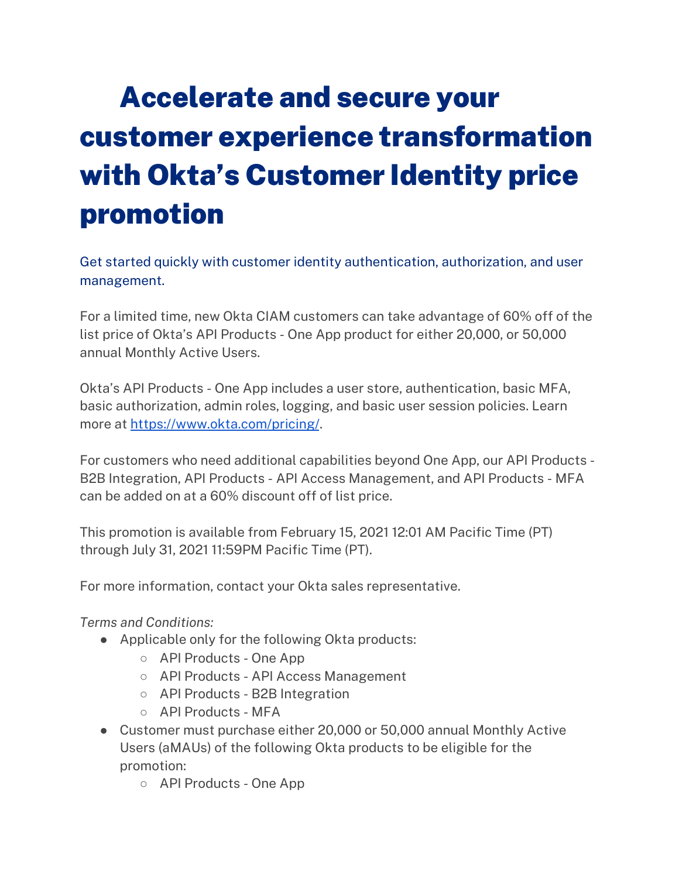## Accelerate and secure your customer experience transformation with Okta's Customer Identity price promotion

Get started quickly with customer identity authentication, authorization, and user management.

For a limited time, new Okta CIAM customers can take advantage of 60% off of the list price of Okta's API Products - One App product for either 20,000, or 50,000 annual Monthly Active Users.

Okta's API Products - One App includes a user store, authentication, basic MFA, basic authorization, admin roles, logging, and basic user session policies. Learn more at <https://www.okta.com/pricing/>.

For customers who need additional capabilities beyond One App, our API Products - B2B Integration, API Products - API Access Management, and API Products - MFA can be added on at a 60% discount off of list price.

This promotion is available from February 15, 2021 12:01 AM Pacific Time (PT) through July 31, 2021 11:59PM Pacific Time (PT).

For more information, contact your Okta sales representative.

*Terms and Conditions:*

- Applicable only for the following Okta products:
	- API Products One App
	- API Products API Access Management
	- API Products B2B Integration
	- API Products MFA
- Customer must purchase either 20,000 or 50,000 annual Monthly Active Users (aMAUs) of the following Okta products to be eligible for the promotion:
	- API Products One App